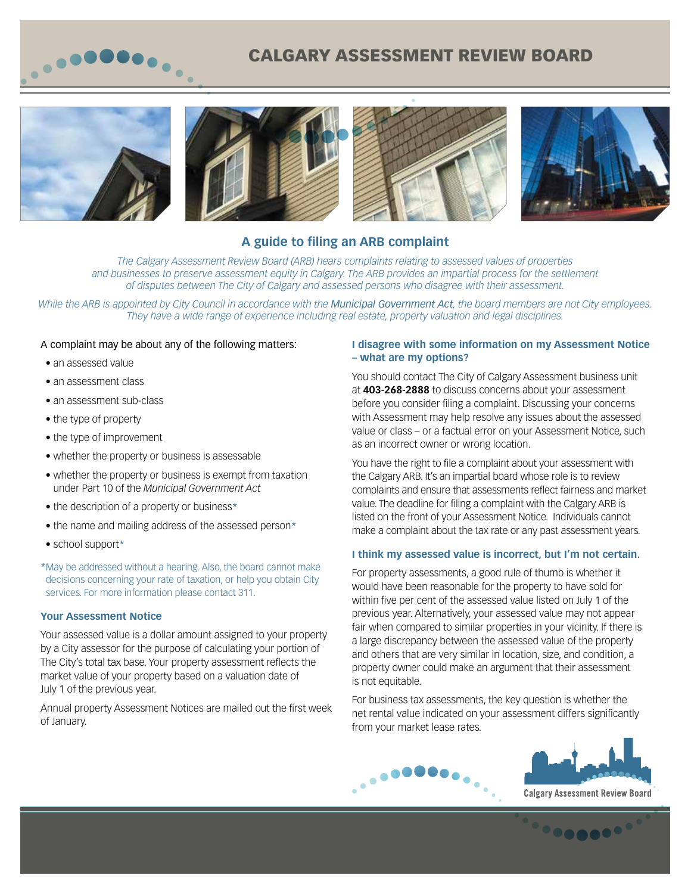

# CALGARY ASSESSMENT REVIEW BOARD









# **A guide to filing an ARB complaint**

*The Calgary Assessment Review Board (ARB) hears complaints relating to assessed values of properties and businesses to preserve assessment equity in Calgary. The ARB provides an impartial process for the settlement of disputes between The City of Calgary and assessed persons who disagree with their assessment.*

*While the ARB is appointed by City Council in accordance with the Municipal Government Act, the board members are not City employees. They have a wide range of experience including real estate, property valuation and legal disciplines.* 

#### A complaint may be about any of the following matters:

- an assessed value
- an assessment class
- an assessment sub-class
- the type of property
- the type of improvement
- whether the property or business is assessable
- whether the property or business is exempt from taxation under Part 10 of the *Municipal Government Act*
- the description of a property or business\*
- the name and mailing address of the assessed person\*
- school support\*

\*May be addressed without a hearing. Also, the board cannot make decisions concerning your rate of taxation, or help you obtain City services. For more information please contact 311.

#### **Your Assessment Notice**

Your assessed value is a dollar amount assigned to your property by a City assessor for the purpose of calculating your portion of The City's total tax base. Your property assessment reflects the market value of your property based on a valuation date of July 1 of the previous year.

Annual property Assessment Notices are mailed out the first week of January.

#### **I disagree with some information on my Assessment Notice – what are my options?**

You should contact The City of Calgary Assessment business unit at **403-268-2888** to discuss concerns about your assessment before you consider filing a complaint. Discussing your concerns with Assessment may help resolve any issues about the assessed value or class – or a factual error on your Assessment Notice, such as an incorrect owner or wrong location.

You have the right to file a complaint about your assessment with the Calgary ARB. It's an impartial board whose role is to review complaints and ensure that assessments reflect fairness and market value. The deadline for filing a complaint with the Calgary ARB is listed on the front of your Assessment Notice. Individuals cannot make a complaint about the tax rate or any past assessment years.

#### **I think my assessed value is incorrect, but I'm not certain.**

For property assessments, a good rule of thumb is whether it would have been reasonable for the property to have sold for within five per cent of the assessed value listed on July 1 of the previous year. Alternatively, your assessed value may not appear fair when compared to similar properties in your vicinity. If there is a large discrepancy between the assessed value of the property and others that are very similar in location, size, and condition, a property owner could make an argument that their assessment is not equitable.

For business tax assessments, the key question is whether the net rental value indicated on your assessment differs significantly from your market lease rates.





<u> especa</u>